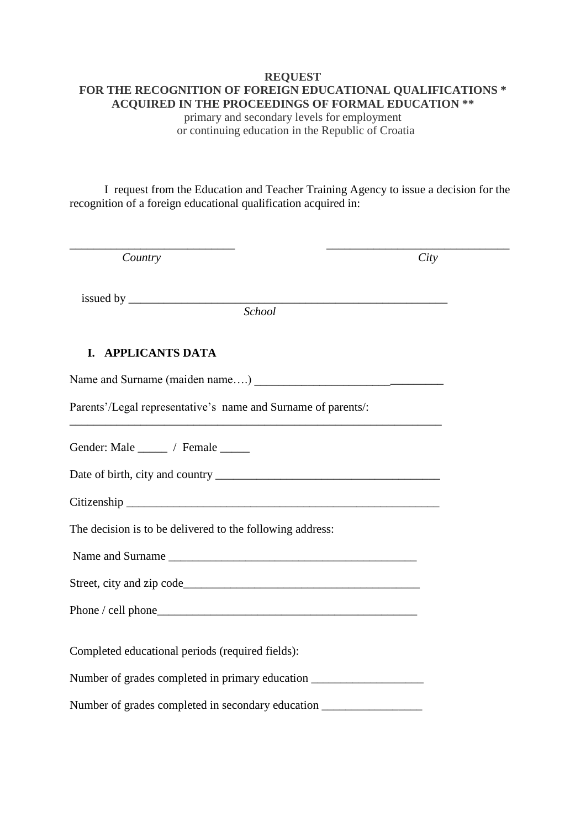# **REQUEST FOR THE RECOGNITION OF FOREIGN EDUCATIONAL QUALIFICATIONS \* ACQUIRED IN THE PROCEEDINGS OF FORMAL EDUCATION \*\***

primary and secondary levels for employment or continuing education in the Republic of Croatia

I request from the Education and Teacher Training Agency to issue a decision for the recognition of a foreign educational qualification acquired in:

| Country                                                                          | City |
|----------------------------------------------------------------------------------|------|
| $is \text{used by }$                                                             |      |
| School                                                                           |      |
| I. APPLICANTS DATA                                                               |      |
|                                                                                  |      |
| Parents'/Legal representative's name and Surname of parents/:                    |      |
| Gender: Male _____ / Female _____                                                |      |
|                                                                                  |      |
|                                                                                  |      |
| The decision is to be delivered to the following address:                        |      |
|                                                                                  |      |
|                                                                                  |      |
|                                                                                  |      |
| Completed educational periods (required fields):                                 |      |
| Number of grades completed in primary education ________________________________ |      |
| Number of grades completed in secondary education ______________________________ |      |
|                                                                                  |      |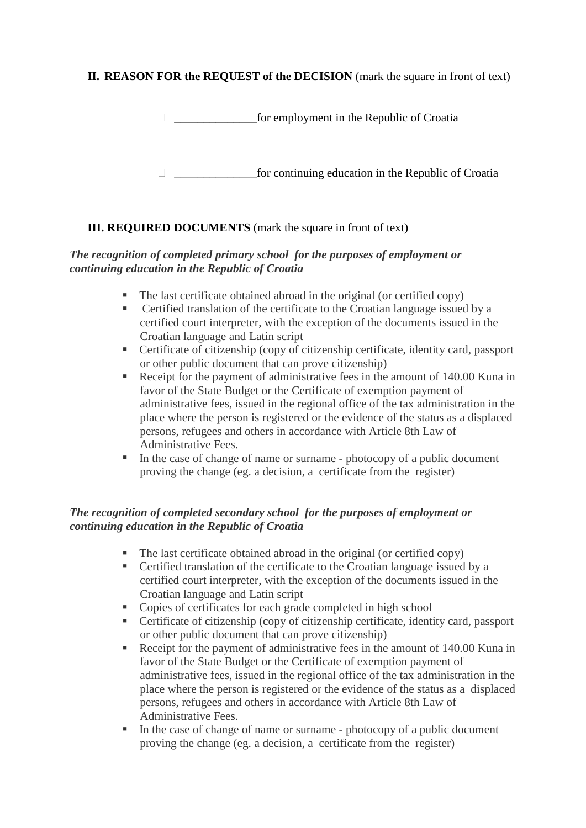## **II. REASON FOR the REQUEST of the DECISION** (mark the square in front of text)

**\_\_\_\_\_\_\_\_\_\_\_\_\_\_**for employment in the Republic of Croatia

 $\Box$  for continuing education in the Republic of Croatia

## **III. REQUIRED DOCUMENTS** (mark the square in front of text)

#### *The recognition of completed primary school for the purposes of employment or continuing education in the Republic of Croatia*

- The last certificate obtained abroad in the original (or certified copy)
- Certified translation of the certificate to the Croatian language issued by a certified court interpreter, with the exception of the documents issued in the Croatian language and Latin script
- Certificate of citizenship (copy of citizenship certificate, identity card, passport or other public document that can prove citizenship)
- Receipt for the payment of administrative fees in the amount of 140.00 Kuna in favor of the State Budget or the Certificate of exemption payment of administrative fees, issued in the regional office of the tax administration in the place where the person is registered or the evidence of the status as a displaced persons, refugees and others in accordance with Article 8th Law of Administrative Fees.
- In the case of change of name or surname photocopy of a public document proving the change (eg. a decision, a certificate from the register)

#### *The recognition of completed secondary school for the purposes of employment or continuing education in the Republic of Croatia*

- The last certificate obtained abroad in the original (or certified copy)
- Certified translation of the certificate to the Croatian language issued by a certified court interpreter, with the exception of the documents issued in the Croatian language and Latin script
- Copies of certificates for each grade completed in high school
- Certificate of citizenship (copy of citizenship certificate, identity card, passport or other public document that can prove citizenship)
- Receipt for the payment of administrative fees in the amount of 140.00 Kuna in favor of the State Budget or the Certificate of exemption payment of administrative fees, issued in the regional office of the tax administration in the place where the person is registered or the evidence of the status as a displaced persons, refugees and others in accordance with Article 8th Law of Administrative Fees.
- In the case of change of name or surname photocopy of a public document proving the change (eg. a decision, a certificate from the register)